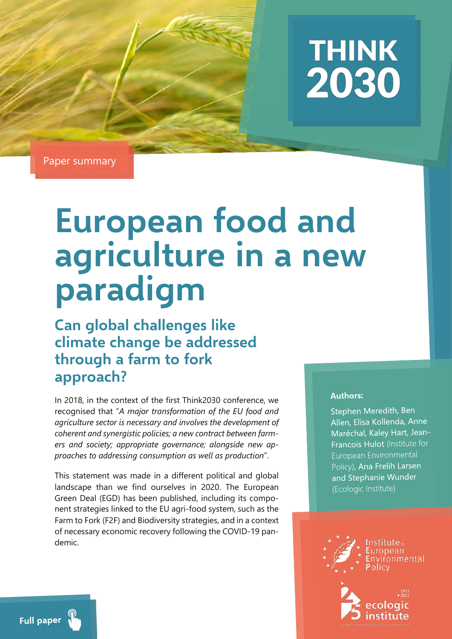

Paper summary

# **European food and agriculture in a new paradigm**

**Can global challenges like climate change be addressed through a farm to fork approach?** 

In 2018, in the context of the first Think2030 conference, we recognised that "*A major transformation of the EU food and agriculture sector is necessary and involves the development of coherent and synergistic policies; a new contract between farmers and society; appropriate governance; alongside new approaches to addressing consumption as well as production*".

This statement was made in a different political and global landscape than we find ourselves in 2020. The European Green Deal (EGD) has been published, including its component strategies linked to the EU agri-food system, such as the Farm to Fork (F2F) and Biodiversity strategies, and in a context of necessary economic recovery following the COVID-19 pandemic.

#### **Authors:**

Stephen Meredith, Ben Allen, Elisa Kollenda, Anne Maréchal, Kaley Hart, Jean-Francois Hulot (Institute for **Furopean Environmental** Policy), Ana Frelih Larsen and Stephanie Wunder (Ecologic Institute)



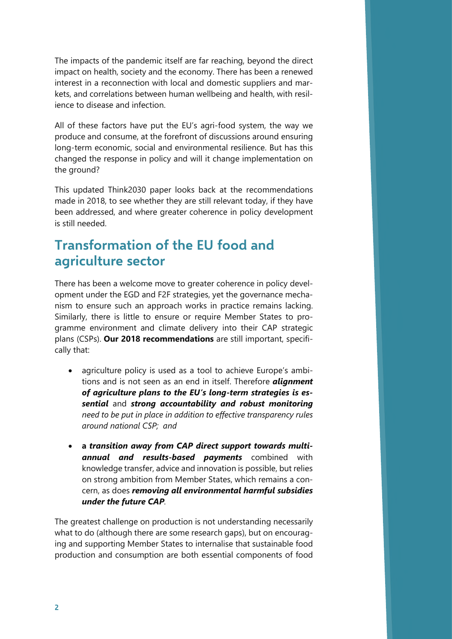The impacts of the pandemic itself are far reaching, beyond the direct impact on health, society and the economy. There has been a renewed interest in a reconnection with local and domestic suppliers and markets, and correlations between human wellbeing and health, with resilience to disease and infection.

All of these factors have put the EU's agri-food system, the way we produce and consume, at the forefront of discussions around ensuring long-term economic, social and environmental resilience. But has this changed the response in policy and will it change implementation on the ground?

This updated Think2030 paper looks back at the recommendations made in 2018, to see whether they are still relevant today, if they have been addressed, and where greater coherence in policy development is still needed.

## **Transformation of the EU food and agriculture sector**

There has been a welcome move to greater coherence in policy development under the EGD and F2F strategies, yet the governance mechanism to ensure such an approach works in practice remains lacking. Similarly, there is little to ensure or require Member States to programme environment and climate delivery into their CAP strategic plans (CSPs). **Our 2018 recommendations** are still important, specifically that:

- agriculture policy is used as a tool to achieve Europe's ambitions and is not seen as an end in itself. Therefore *alignment of agriculture plans to the EU's long-term strategies is essential* and *strong accountability and robust monitoring need to be put in place in addition to effective transparency rules around national CSP; and*
- **a** *transition away from CAP direct support towards multiannual and results-based payments* combined with knowledge transfer, advice and innovation is possible, but relies on strong ambition from Member States, which remains a concern, as does *removing all environmental harmful subsidies under the future CAP.*

The greatest challenge on production is not understanding necessarily what to do (although there are some research gaps), but on encouraging and supporting Member States to internalise that sustainable food production and consumption are both essential components of food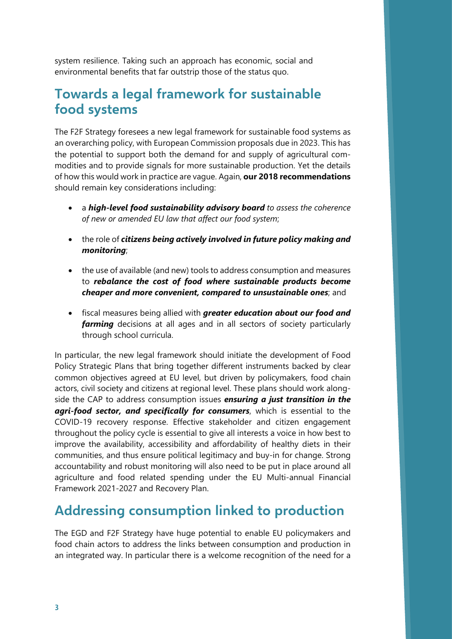system resilience. Taking such an approach has economic, social and environmental benefits that far outstrip those of the status quo.

## **Towards a legal framework for sustainable food systems**

The F2F Strategy foresees a new legal framework for sustainable food systems as an overarching policy, with European Commission proposals due in 2023. This has the potential to support both the demand for and supply of agricultural commodities and to provide signals for more sustainable production. Yet the details of how this would work in practice are vague. Again, **our 2018 recommendations**  should remain key considerations including:

- a *high-level food sustainability advisory board to assess the coherence of new or amended EU law that affect our food system*;
- the role of *citizens being actively involved in future policy making and monitoring*;
- the use of available (and new) tools to address consumption and measures to *rebalance the cost of food where sustainable products become cheaper and more convenient, compared to unsustainable ones*; and
- fiscal measures being allied with *greater education about our food and farming* decisions at all ages and in all sectors of society particularly through school curricula.

In particular, the new legal framework should initiate the development of Food Policy Strategic Plans that bring together different instruments backed by clear common objectives agreed at EU level, but driven by policymakers, food chain actors, civil society and citizens at regional level. These plans should work alongside the CAP to address consumption issues *ensuring a just transition in the agri-food sector, and specifically for consumers*, which is essential to the COVID-19 recovery response. Effective stakeholder and citizen engagement throughout the policy cycle is essential to give all interests a voice in how best to improve the availability, accessibility and affordability of healthy diets in their communities, and thus ensure political legitimacy and buy-in for change. Strong accountability and robust monitoring will also need to be put in place around all agriculture and food related spending under the EU Multi-annual Financial Framework 2021-2027 and Recovery Plan.

#### **Addressing consumption linked to production**

The EGD and F2F Strategy have huge potential to enable EU policymakers and food chain actors to address the links between consumption and production in an integrated way. In particular there is a welcome recognition of the need for a